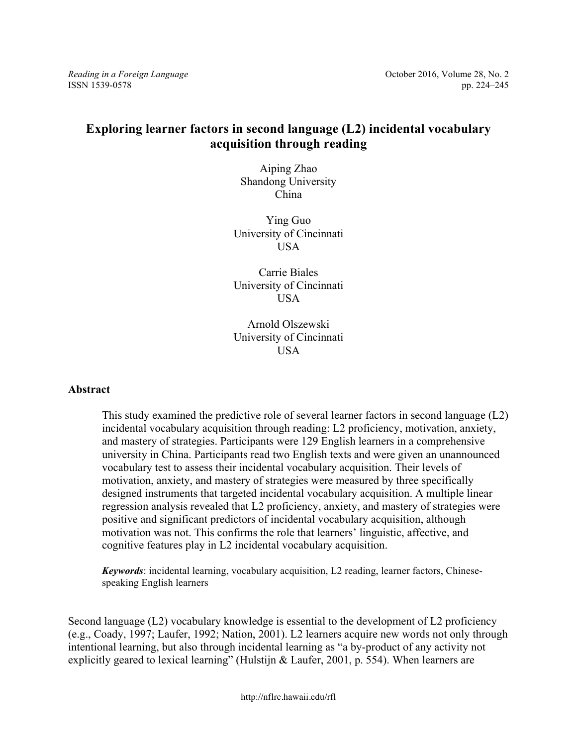*Reading in a Foreign Language Reading in a Foreign Language Cecomber 2016, Volume 28, No. 2* 

ISSN 1539-0578 pp. 224–245

# **Exploring learner factors in second language (L2) incidental vocabulary acquisition through reading**

Aiping Zhao Shandong University China

Ying Guo University of Cincinnati **I**ISA

Carrie Biales University of Cincinnati USA

Arnold Olszewski University of Cincinnati **USA** 

#### **Abstract**

This study examined the predictive role of several learner factors in second language (L2) incidental vocabulary acquisition through reading: L2 proficiency, motivation, anxiety, and mastery of strategies. Participants were 129 English learners in a comprehensive university in China. Participants read two English texts and were given an unannounced vocabulary test to assess their incidental vocabulary acquisition. Their levels of motivation, anxiety, and mastery of strategies were measured by three specifically designed instruments that targeted incidental vocabulary acquisition. A multiple linear regression analysis revealed that L2 proficiency, anxiety, and mastery of strategies were positive and significant predictors of incidental vocabulary acquisition, although motivation was not. This confirms the role that learners' linguistic, affective, and cognitive features play in L2 incidental vocabulary acquisition.

*Keywords*: incidental learning, vocabulary acquisition, L2 reading, learner factors, Chinesespeaking English learners

Second language (L2) vocabulary knowledge is essential to the development of L2 proficiency (e.g., Coady, 1997; Laufer, 1992; Nation, 2001). L2 learners acquire new words not only through intentional learning, but also through incidental learning as "a by-product of any activity not explicitly geared to lexical learning" (Hulstijn & Laufer, 2001, p. 554). When learners are

http://nflrc.hawaii.edu/rfl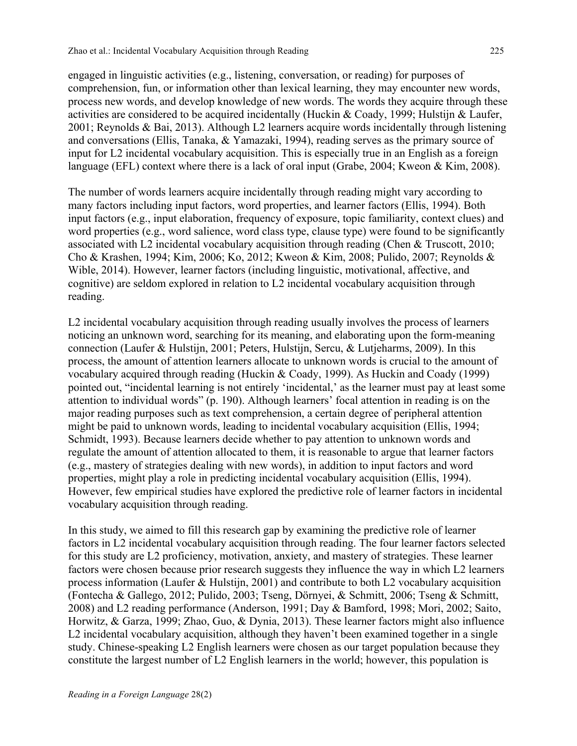engaged in linguistic activities (e.g., listening, conversation, or reading) for purposes of comprehension, fun, or information other than lexical learning, they may encounter new words, process new words, and develop knowledge of new words. The words they acquire through these activities are considered to be acquired incidentally (Huckin & Coady, 1999; Hulstijn & Laufer, 2001; Reynolds & Bai, 2013). Although L2 learners acquire words incidentally through listening and conversations (Ellis, Tanaka, & Yamazaki, 1994), reading serves as the primary source of input for L2 incidental vocabulary acquisition. This is especially true in an English as a foreign language (EFL) context where there is a lack of oral input (Grabe, 2004; Kweon & Kim, 2008).

The number of words learners acquire incidentally through reading might vary according to many factors including input factors, word properties, and learner factors (Ellis, 1994). Both input factors (e.g., input elaboration, frequency of exposure, topic familiarity, context clues) and word properties (e.g., word salience, word class type, clause type) were found to be significantly associated with L2 incidental vocabulary acquisition through reading (Chen & Truscott, 2010; Cho & Krashen, 1994; Kim, 2006; Ko, 2012; Kweon & Kim, 2008; Pulido, 2007; Reynolds & Wible, 2014). However, learner factors (including linguistic, motivational, affective, and cognitive) are seldom explored in relation to L2 incidental vocabulary acquisition through reading.

L2 incidental vocabulary acquisition through reading usually involves the process of learners noticing an unknown word, searching for its meaning, and elaborating upon the form-meaning connection (Laufer & Hulstijn, 2001; Peters, Hulstijn, Sercu, & Lutjeharms, 2009). In this process, the amount of attention learners allocate to unknown words is crucial to the amount of vocabulary acquired through reading (Huckin & Coady, 1999). As Huckin and Coady (1999) pointed out, "incidental learning is not entirely 'incidental,' as the learner must pay at least some attention to individual words" (p. 190). Although learners' focal attention in reading is on the major reading purposes such as text comprehension, a certain degree of peripheral attention might be paid to unknown words, leading to incidental vocabulary acquisition (Ellis, 1994; Schmidt, 1993). Because learners decide whether to pay attention to unknown words and regulate the amount of attention allocated to them, it is reasonable to argue that learner factors (e.g., mastery of strategies dealing with new words), in addition to input factors and word properties, might play a role in predicting incidental vocabulary acquisition (Ellis, 1994). However, few empirical studies have explored the predictive role of learner factors in incidental vocabulary acquisition through reading.

In this study, we aimed to fill this research gap by examining the predictive role of learner factors in L2 incidental vocabulary acquisition through reading. The four learner factors selected for this study are L2 proficiency, motivation, anxiety, and mastery of strategies. These learner factors were chosen because prior research suggests they influence the way in which L2 learners process information (Laufer & Hulstijn, 2001) and contribute to both L2 vocabulary acquisition (Fontecha & Gallego, 2012; Pulido, 2003; Tseng, Dörnyei, & Schmitt, 2006; Tseng & Schmitt, 2008) and L2 reading performance (Anderson, 1991; Day & Bamford, 1998; Mori, 2002; Saito, Horwitz, & Garza, 1999; Zhao, Guo, & Dynia, 2013). These learner factors might also influence L2 incidental vocabulary acquisition, although they haven't been examined together in a single study. Chinese-speaking L2 English learners were chosen as our target population because they constitute the largest number of L2 English learners in the world; however, this population is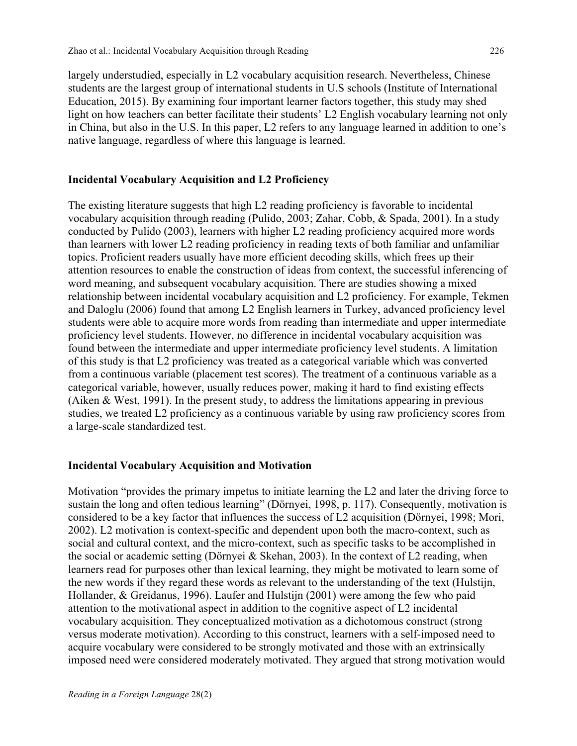largely understudied, especially in L2 vocabulary acquisition research. Nevertheless, Chinese students are the largest group of international students in U.S schools (Institute of International Education, 2015). By examining four important learner factors together, this study may shed light on how teachers can better facilitate their students' L2 English vocabulary learning not only in China, but also in the U.S. In this paper, L2 refers to any language learned in addition to one's native language, regardless of where this language is learned.

### **Incidental Vocabulary Acquisition and L2 Proficiency**

The existing literature suggests that high L2 reading proficiency is favorable to incidental vocabulary acquisition through reading (Pulido, 2003; Zahar, Cobb, & Spada, 2001). In a study conducted by Pulido (2003), learners with higher L2 reading proficiency acquired more words than learners with lower L2 reading proficiency in reading texts of both familiar and unfamiliar topics. Proficient readers usually have more efficient decoding skills, which frees up their attention resources to enable the construction of ideas from context, the successful inferencing of word meaning, and subsequent vocabulary acquisition. There are studies showing a mixed relationship between incidental vocabulary acquisition and L2 proficiency. For example, Tekmen and Daloglu (2006) found that among L2 English learners in Turkey, advanced proficiency level students were able to acquire more words from reading than intermediate and upper intermediate proficiency level students. However, no difference in incidental vocabulary acquisition was found between the intermediate and upper intermediate proficiency level students. A limitation of this study is that L2 proficiency was treated as a categorical variable which was converted from a continuous variable (placement test scores). The treatment of a continuous variable as a categorical variable, however, usually reduces power, making it hard to find existing effects (Aiken & West, 1991). In the present study, to address the limitations appearing in previous studies, we treated L2 proficiency as a continuous variable by using raw proficiency scores from a large-scale standardized test.

### **Incidental Vocabulary Acquisition and Motivation**

Motivation "provides the primary impetus to initiate learning the L2 and later the driving force to sustain the long and often tedious learning" (Dörnyei, 1998, p. 117). Consequently, motivation is considered to be a key factor that influences the success of L2 acquisition (Dörnyei, 1998; Mori, 2002). L2 motivation is context-specific and dependent upon both the macro-context, such as social and cultural context, and the micro-context, such as specific tasks to be accomplished in the social or academic setting (Dörnyei & Skehan, 2003). In the context of L2 reading, when learners read for purposes other than lexical learning, they might be motivated to learn some of the new words if they regard these words as relevant to the understanding of the text (Hulstijn, Hollander, & Greidanus, 1996). Laufer and Hulstijn (2001) were among the few who paid attention to the motivational aspect in addition to the cognitive aspect of L2 incidental vocabulary acquisition. They conceptualized motivation as a dichotomous construct (strong versus moderate motivation). According to this construct, learners with a self-imposed need to acquire vocabulary were considered to be strongly motivated and those with an extrinsically imposed need were considered moderately motivated. They argued that strong motivation would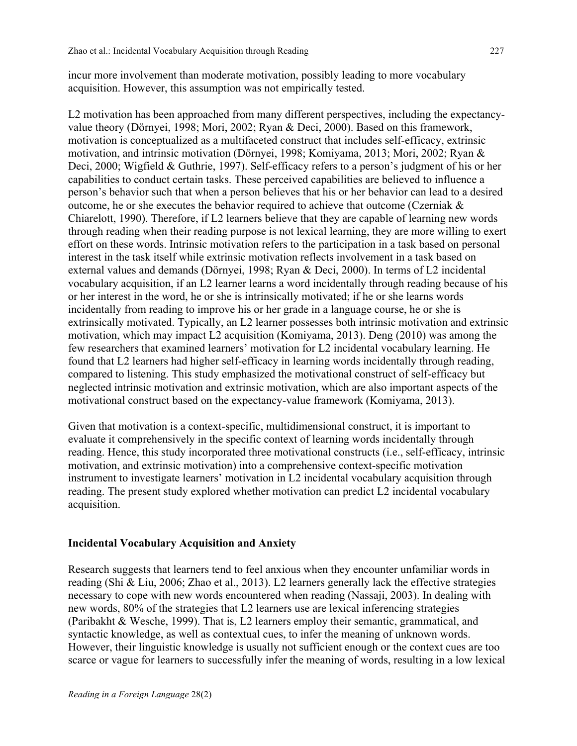incur more involvement than moderate motivation, possibly leading to more vocabulary acquisition. However, this assumption was not empirically tested.

L2 motivation has been approached from many different perspectives, including the expectancyvalue theory (Dörnyei, 1998; Mori, 2002; Ryan & Deci, 2000). Based on this framework, motivation is conceptualized as a multifaceted construct that includes self-efficacy, extrinsic motivation, and intrinsic motivation (Dörnyei, 1998; Komiyama, 2013; Mori, 2002; Ryan & Deci, 2000; Wigfield & Guthrie, 1997). Self-efficacy refers to a person's judgment of his or her capabilities to conduct certain tasks. These perceived capabilities are believed to influence a person's behavior such that when a person believes that his or her behavior can lead to a desired outcome, he or she executes the behavior required to achieve that outcome (Czerniak & Chiarelott, 1990). Therefore, if L2 learners believe that they are capable of learning new words through reading when their reading purpose is not lexical learning, they are more willing to exert effort on these words. Intrinsic motivation refers to the participation in a task based on personal interest in the task itself while extrinsic motivation reflects involvement in a task based on external values and demands (Dörnyei, 1998; Ryan & Deci, 2000). In terms of L2 incidental vocabulary acquisition, if an L2 learner learns a word incidentally through reading because of his or her interest in the word, he or she is intrinsically motivated; if he or she learns words incidentally from reading to improve his or her grade in a language course, he or she is extrinsically motivated. Typically, an L2 learner possesses both intrinsic motivation and extrinsic motivation, which may impact L2 acquisition (Komiyama, 2013). Deng (2010) was among the few researchers that examined learners' motivation for L2 incidental vocabulary learning. He found that L2 learners had higher self-efficacy in learning words incidentally through reading, compared to listening. This study emphasized the motivational construct of self-efficacy but neglected intrinsic motivation and extrinsic motivation, which are also important aspects of the motivational construct based on the expectancy-value framework (Komiyama, 2013).

Given that motivation is a context-specific, multidimensional construct, it is important to evaluate it comprehensively in the specific context of learning words incidentally through reading. Hence, this study incorporated three motivational constructs (i.e., self-efficacy, intrinsic motivation, and extrinsic motivation) into a comprehensive context-specific motivation instrument to investigate learners' motivation in L2 incidental vocabulary acquisition through reading. The present study explored whether motivation can predict L2 incidental vocabulary acquisition.

### **Incidental Vocabulary Acquisition and Anxiety**

Research suggests that learners tend to feel anxious when they encounter unfamiliar words in reading (Shi & Liu, 2006; Zhao et al., 2013). L2 learners generally lack the effective strategies necessary to cope with new words encountered when reading (Nassaji, 2003). In dealing with new words, 80% of the strategies that L2 learners use are lexical inferencing strategies (Paribakht & Wesche, 1999). That is, L2 learners employ their semantic, grammatical, and syntactic knowledge, as well as contextual cues, to infer the meaning of unknown words. However, their linguistic knowledge is usually not sufficient enough or the context cues are too scarce or vague for learners to successfully infer the meaning of words, resulting in a low lexical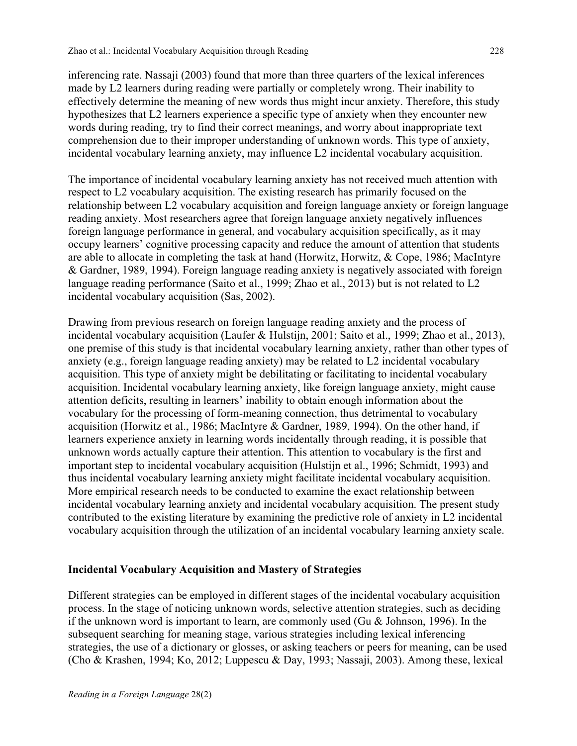inferencing rate. Nassaji (2003) found that more than three quarters of the lexical inferences made by L2 learners during reading were partially or completely wrong. Their inability to effectively determine the meaning of new words thus might incur anxiety. Therefore, this study hypothesizes that L2 learners experience a specific type of anxiety when they encounter new words during reading, try to find their correct meanings, and worry about inappropriate text comprehension due to their improper understanding of unknown words. This type of anxiety, incidental vocabulary learning anxiety, may influence L2 incidental vocabulary acquisition.

The importance of incidental vocabulary learning anxiety has not received much attention with respect to L2 vocabulary acquisition. The existing research has primarily focused on the relationship between L2 vocabulary acquisition and foreign language anxiety or foreign language reading anxiety. Most researchers agree that foreign language anxiety negatively influences foreign language performance in general, and vocabulary acquisition specifically, as it may occupy learners' cognitive processing capacity and reduce the amount of attention that students are able to allocate in completing the task at hand (Horwitz, Horwitz, & Cope, 1986; MacIntyre & Gardner, 1989, 1994). Foreign language reading anxiety is negatively associated with foreign language reading performance (Saito et al., 1999; Zhao et al., 2013) but is not related to L2 incidental vocabulary acquisition (Sas, 2002).

Drawing from previous research on foreign language reading anxiety and the process of incidental vocabulary acquisition (Laufer & Hulstijn, 2001; Saito et al., 1999; Zhao et al., 2013), one premise of this study is that incidental vocabulary learning anxiety, rather than other types of anxiety (e.g., foreign language reading anxiety) may be related to L2 incidental vocabulary acquisition. This type of anxiety might be debilitating or facilitating to incidental vocabulary acquisition. Incidental vocabulary learning anxiety, like foreign language anxiety, might cause attention deficits, resulting in learners' inability to obtain enough information about the vocabulary for the processing of form-meaning connection, thus detrimental to vocabulary acquisition (Horwitz et al., 1986; MacIntyre & Gardner, 1989, 1994). On the other hand, if learners experience anxiety in learning words incidentally through reading, it is possible that unknown words actually capture their attention. This attention to vocabulary is the first and important step to incidental vocabulary acquisition (Hulstijn et al., 1996; Schmidt, 1993) and thus incidental vocabulary learning anxiety might facilitate incidental vocabulary acquisition. More empirical research needs to be conducted to examine the exact relationship between incidental vocabulary learning anxiety and incidental vocabulary acquisition. The present study contributed to the existing literature by examining the predictive role of anxiety in L2 incidental vocabulary acquisition through the utilization of an incidental vocabulary learning anxiety scale.

## **Incidental Vocabulary Acquisition and Mastery of Strategies**

Different strategies can be employed in different stages of the incidental vocabulary acquisition process. In the stage of noticing unknown words, selective attention strategies, such as deciding if the unknown word is important to learn, are commonly used (Gu & Johnson, 1996). In the subsequent searching for meaning stage, various strategies including lexical inferencing strategies, the use of a dictionary or glosses, or asking teachers or peers for meaning, can be used (Cho & Krashen, 1994; Ko, 2012; Luppescu & Day, 1993; Nassaji, 2003). Among these, lexical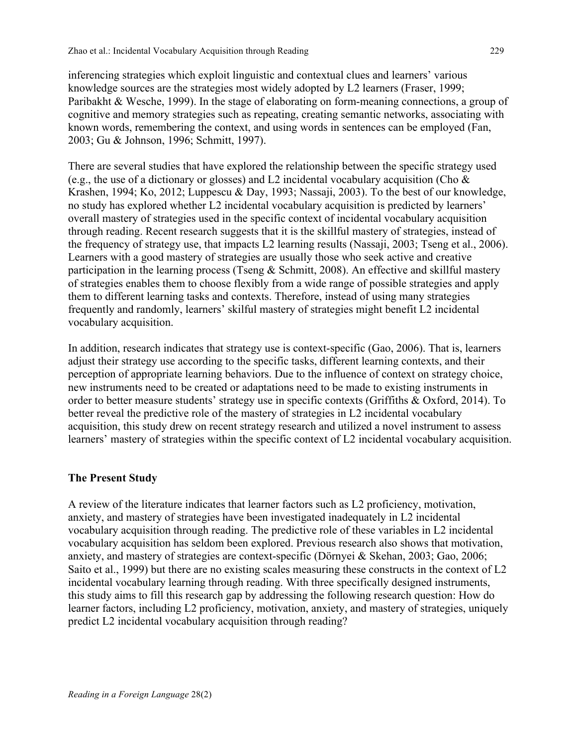inferencing strategies which exploit linguistic and contextual clues and learners' various knowledge sources are the strategies most widely adopted by L2 learners (Fraser, 1999; Paribakht & Wesche, 1999). In the stage of elaborating on form-meaning connections, a group of cognitive and memory strategies such as repeating, creating semantic networks, associating with known words, remembering the context, and using words in sentences can be employed (Fan, 2003; Gu & Johnson, 1996; Schmitt, 1997).

There are several studies that have explored the relationship between the specific strategy used (e.g., the use of a dictionary or glosses) and L2 incidental vocabulary acquisition (Cho  $\&$ Krashen, 1994; Ko, 2012; Luppescu & Day, 1993; Nassaji, 2003). To the best of our knowledge, no study has explored whether L2 incidental vocabulary acquisition is predicted by learners' overall mastery of strategies used in the specific context of incidental vocabulary acquisition through reading. Recent research suggests that it is the skillful mastery of strategies, instead of the frequency of strategy use, that impacts L2 learning results (Nassaji, 2003; Tseng et al., 2006). Learners with a good mastery of strategies are usually those who seek active and creative participation in the learning process (Tseng & Schmitt, 2008). An effective and skillful mastery of strategies enables them to choose flexibly from a wide range of possible strategies and apply them to different learning tasks and contexts. Therefore, instead of using many strategies frequently and randomly, learners' skilful mastery of strategies might benefit L2 incidental vocabulary acquisition.

In addition, research indicates that strategy use is context-specific (Gao, 2006). That is, learners adjust their strategy use according to the specific tasks, different learning contexts, and their perception of appropriate learning behaviors. Due to the influence of context on strategy choice, new instruments need to be created or adaptations need to be made to existing instruments in order to better measure students' strategy use in specific contexts (Griffiths & Oxford, 2014). To better reveal the predictive role of the mastery of strategies in L2 incidental vocabulary acquisition, this study drew on recent strategy research and utilized a novel instrument to assess learners' mastery of strategies within the specific context of L2 incidental vocabulary acquisition.

## **The Present Study**

A review of the literature indicates that learner factors such as L2 proficiency, motivation, anxiety, and mastery of strategies have been investigated inadequately in L2 incidental vocabulary acquisition through reading. The predictive role of these variables in L2 incidental vocabulary acquisition has seldom been explored. Previous research also shows that motivation, anxiety, and mastery of strategies are context-specific (Dörnyei & Skehan, 2003; Gao, 2006; Saito et al., 1999) but there are no existing scales measuring these constructs in the context of L2 incidental vocabulary learning through reading. With three specifically designed instruments, this study aims to fill this research gap by addressing the following research question: How do learner factors, including L2 proficiency, motivation, anxiety, and mastery of strategies, uniquely predict L2 incidental vocabulary acquisition through reading?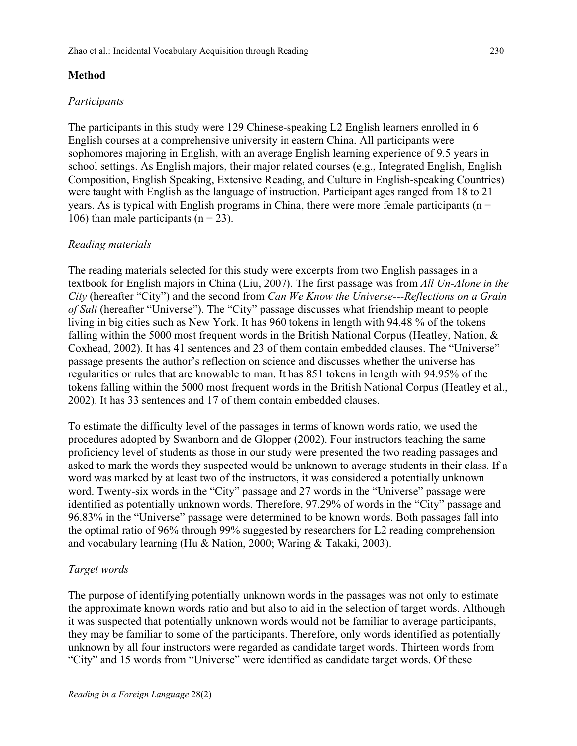## **Method**

### *Participants*

The participants in this study were 129 Chinese-speaking L2 English learners enrolled in 6 English courses at a comprehensive university in eastern China. All participants were sophomores majoring in English, with an average English learning experience of 9.5 years in school settings. As English majors, their major related courses (e.g., Integrated English, English Composition, English Speaking, Extensive Reading, and Culture in English-speaking Countries) were taught with English as the language of instruction. Participant ages ranged from 18 to 21 years. As is typical with English programs in China, there were more female participants ( $n =$ 106) than male participants  $(n = 23)$ .

## *Reading materials*

The reading materials selected for this study were excerpts from two English passages in a textbook for English majors in China (Liu, 2007). The first passage was from *All Un-Alone in the City* (hereafter "City") and the second from *Can We Know the Universe---Reflections on a Grain of Salt* (hereafter "Universe"). The "City" passage discusses what friendship meant to people living in big cities such as New York. It has 960 tokens in length with 94.48 % of the tokens falling within the 5000 most frequent words in the British National Corpus (Heatley, Nation, & Coxhead, 2002). It has 41 sentences and 23 of them contain embedded clauses. The "Universe" passage presents the author's reflection on science and discusses whether the universe has regularities or rules that are knowable to man. It has 851 tokens in length with 94.95% of the tokens falling within the 5000 most frequent words in the British National Corpus (Heatley et al., 2002). It has 33 sentences and 17 of them contain embedded clauses.

To estimate the difficulty level of the passages in terms of known words ratio, we used the procedures adopted by Swanborn and de Glopper (2002). Four instructors teaching the same proficiency level of students as those in our study were presented the two reading passages and asked to mark the words they suspected would be unknown to average students in their class. If a word was marked by at least two of the instructors, it was considered a potentially unknown word. Twenty-six words in the "City" passage and 27 words in the "Universe" passage were identified as potentially unknown words. Therefore, 97.29% of words in the "City" passage and 96.83% in the "Universe" passage were determined to be known words. Both passages fall into the optimal ratio of 96% through 99% suggested by researchers for L2 reading comprehension and vocabulary learning (Hu & Nation, 2000; Waring & Takaki, 2003).

### *Target words*

The purpose of identifying potentially unknown words in the passages was not only to estimate the approximate known words ratio and but also to aid in the selection of target words. Although it was suspected that potentially unknown words would not be familiar to average participants, they may be familiar to some of the participants. Therefore, only words identified as potentially unknown by all four instructors were regarded as candidate target words. Thirteen words from "City" and 15 words from "Universe" were identified as candidate target words. Of these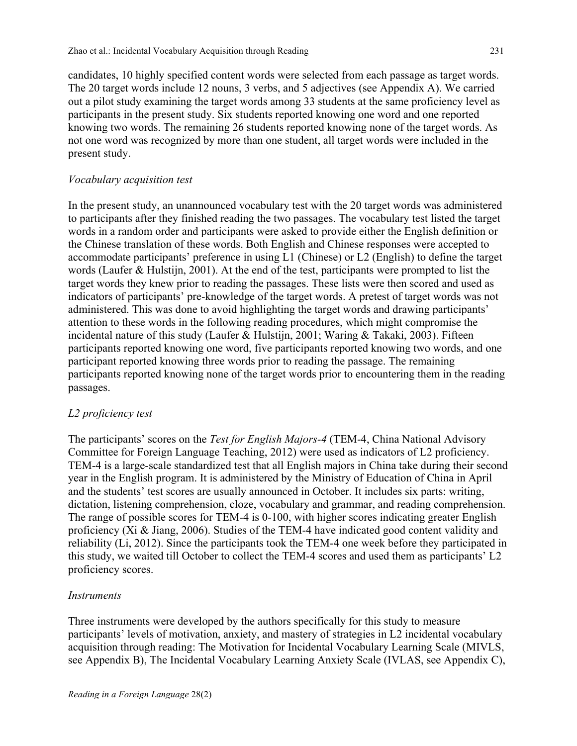candidates, 10 highly specified content words were selected from each passage as target words. The 20 target words include 12 nouns, 3 verbs, and 5 adjectives (see Appendix A). We carried out a pilot study examining the target words among 33 students at the same proficiency level as participants in the present study. Six students reported knowing one word and one reported knowing two words. The remaining 26 students reported knowing none of the target words. As not one word was recognized by more than one student, all target words were included in the present study.

### *Vocabulary acquisition test*

In the present study, an unannounced vocabulary test with the 20 target words was administered to participants after they finished reading the two passages. The vocabulary test listed the target words in a random order and participants were asked to provide either the English definition or the Chinese translation of these words. Both English and Chinese responses were accepted to accommodate participants' preference in using L1 (Chinese) or L2 (English) to define the target words (Laufer & Hulstijn, 2001). At the end of the test, participants were prompted to list the target words they knew prior to reading the passages. These lists were then scored and used as indicators of participants' pre-knowledge of the target words. A pretest of target words was not administered. This was done to avoid highlighting the target words and drawing participants' attention to these words in the following reading procedures, which might compromise the incidental nature of this study (Laufer & Hulstijn, 2001; Waring & Takaki, 2003). Fifteen participants reported knowing one word, five participants reported knowing two words, and one participant reported knowing three words prior to reading the passage. The remaining participants reported knowing none of the target words prior to encountering them in the reading passages.

### *L2 proficiency test*

The participants' scores on the *Test for English Majors-4* (TEM-4, China National Advisory Committee for Foreign Language Teaching, 2012) were used as indicators of L2 proficiency. TEM-4 is a large-scale standardized test that all English majors in China take during their second year in the English program. It is administered by the Ministry of Education of China in April and the students' test scores are usually announced in October. It includes six parts: writing, dictation, listening comprehension, cloze, vocabulary and grammar, and reading comprehension. The range of possible scores for TEM-4 is 0-100, with higher scores indicating greater English proficiency (Xi & Jiang, 2006). Studies of the TEM-4 have indicated good content validity and reliability (Li, 2012). Since the participants took the TEM-4 one week before they participated in this study, we waited till October to collect the TEM-4 scores and used them as participants' L2 proficiency scores.

### *Instruments*

Three instruments were developed by the authors specifically for this study to measure participants' levels of motivation, anxiety, and mastery of strategies in L2 incidental vocabulary acquisition through reading: The Motivation for Incidental Vocabulary Learning Scale (MIVLS, see Appendix B), The Incidental Vocabulary Learning Anxiety Scale (IVLAS, see Appendix C),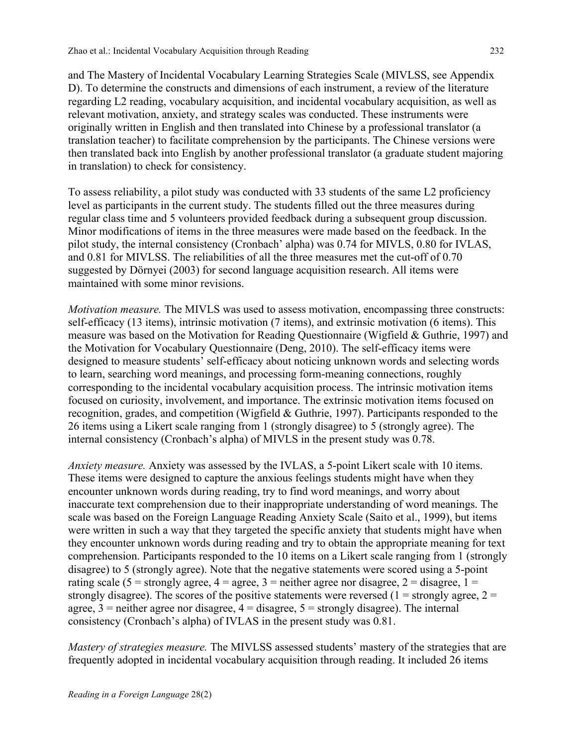and The Mastery of Incidental Vocabulary Learning Strategies Scale (MIVLSS, see Appendix D). To determine the constructs and dimensions of each instrument, a review of the literature regarding L2 reading, vocabulary acquisition, and incidental vocabulary acquisition, as well as relevant motivation, anxiety, and strategy scales was conducted. These instruments were originally written in English and then translated into Chinese by a professional translator (a translation teacher) to facilitate comprehension by the participants. The Chinese versions were then translated back into English by another professional translator (a graduate student majoring in translation) to check for consistency.

To assess reliability, a pilot study was conducted with 33 students of the same L2 proficiency level as participants in the current study. The students filled out the three measures during regular class time and 5 volunteers provided feedback during a subsequent group discussion. Minor modifications of items in the three measures were made based on the feedback. In the pilot study, the internal consistency (Cronbach' alpha) was 0.74 for MIVLS, 0.80 for IVLAS, and 0.81 for MIVLSS. The reliabilities of all the three measures met the cut-off of 0.70 suggested by Dörnyei (2003) for second language acquisition research. All items were maintained with some minor revisions.

*Motivation measure.* The MIVLS was used to assess motivation, encompassing three constructs: self-efficacy (13 items), intrinsic motivation (7 items), and extrinsic motivation (6 items). This measure was based on the Motivation for Reading Questionnaire (Wigfield & Guthrie, 1997) and the Motivation for Vocabulary Questionnaire (Deng, 2010). The self-efficacy items were designed to measure students' self-efficacy about noticing unknown words and selecting words to learn, searching word meanings, and processing form-meaning connections, roughly corresponding to the incidental vocabulary acquisition process. The intrinsic motivation items focused on curiosity, involvement, and importance. The extrinsic motivation items focused on recognition, grades, and competition (Wigfield & Guthrie, 1997). Participants responded to the 26 items using a Likert scale ranging from 1 (strongly disagree) to 5 (strongly agree). The internal consistency (Cronbach's alpha) of MIVLS in the present study was 0.78.

*Anxiety measure.* Anxiety was assessed by the IVLAS, a 5-point Likert scale with 10 items. These items were designed to capture the anxious feelings students might have when they encounter unknown words during reading, try to find word meanings, and worry about inaccurate text comprehension due to their inappropriate understanding of word meanings. The scale was based on the Foreign Language Reading Anxiety Scale (Saito et al., 1999), but items were written in such a way that they targeted the specific anxiety that students might have when they encounter unknown words during reading and try to obtain the appropriate meaning for text comprehension. Participants responded to the 10 items on a Likert scale ranging from 1 (strongly disagree) to 5 (strongly agree). Note that the negative statements were scored using a 5-point rating scale (5 = strongly agree,  $4 =$  agree, 3 = neither agree nor disagree,  $2 =$  disagree,  $1 =$ strongly disagree). The scores of the positive statements were reversed (1 = strongly agree,  $2 =$ agree,  $3$  = neither agree nor disagree,  $4$  = disagree,  $5$  = strongly disagree). The internal consistency (Cronbach's alpha) of IVLAS in the present study was 0.81.

*Mastery of strategies measure.* The MIVLSS assessed students' mastery of the strategies that are frequently adopted in incidental vocabulary acquisition through reading. It included 26 items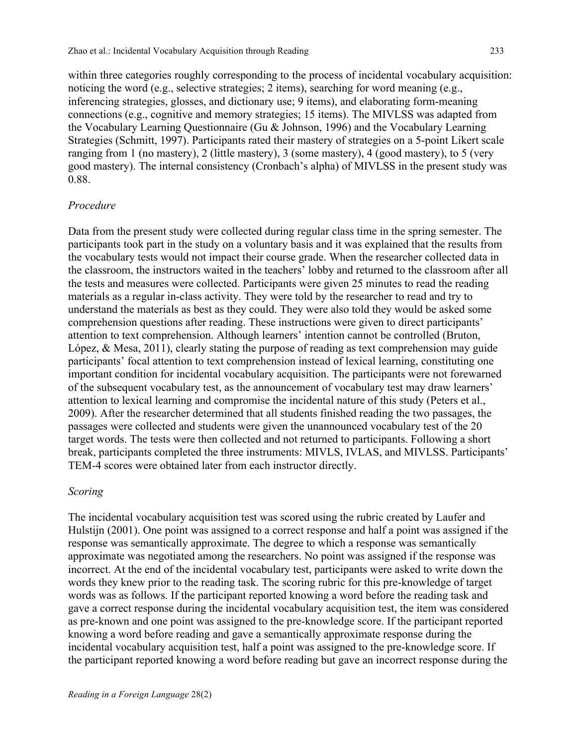within three categories roughly corresponding to the process of incidental vocabulary acquisition: noticing the word (e.g., selective strategies; 2 items), searching for word meaning (e.g., inferencing strategies, glosses, and dictionary use; 9 items), and elaborating form-meaning connections (e.g., cognitive and memory strategies; 15 items). The MIVLSS was adapted from the Vocabulary Learning Questionnaire (Gu & Johnson, 1996) and the Vocabulary Learning Strategies (Schmitt, 1997). Participants rated their mastery of strategies on a 5-point Likert scale ranging from 1 (no mastery), 2 (little mastery), 3 (some mastery), 4 (good mastery), to 5 (very good mastery). The internal consistency (Cronbach's alpha) of MIVLSS in the present study was 0.88.

#### *Procedure*

Data from the present study were collected during regular class time in the spring semester. The participants took part in the study on a voluntary basis and it was explained that the results from the vocabulary tests would not impact their course grade. When the researcher collected data in the classroom, the instructors waited in the teachers' lobby and returned to the classroom after all the tests and measures were collected. Participants were given 25 minutes to read the reading materials as a regular in-class activity. They were told by the researcher to read and try to understand the materials as best as they could. They were also told they would be asked some comprehension questions after reading. These instructions were given to direct participants' attention to text comprehension. Although learners' intention cannot be controlled (Bruton, López, & Mesa, 2011), clearly stating the purpose of reading as text comprehension may guide participants' focal attention to text comprehension instead of lexical learning, constituting one important condition for incidental vocabulary acquisition. The participants were not forewarned of the subsequent vocabulary test, as the announcement of vocabulary test may draw learners' attention to lexical learning and compromise the incidental nature of this study (Peters et al., 2009). After the researcher determined that all students finished reading the two passages, the passages were collected and students were given the unannounced vocabulary test of the 20 target words. The tests were then collected and not returned to participants. Following a short break, participants completed the three instruments: MIVLS, IVLAS, and MIVLSS. Participants' TEM-4 scores were obtained later from each instructor directly.

#### *Scoring*

The incidental vocabulary acquisition test was scored using the rubric created by Laufer and Hulstijn (2001). One point was assigned to a correct response and half a point was assigned if the response was semantically approximate. The degree to which a response was semantically approximate was negotiated among the researchers. No point was assigned if the response was incorrect. At the end of the incidental vocabulary test, participants were asked to write down the words they knew prior to the reading task. The scoring rubric for this pre-knowledge of target words was as follows. If the participant reported knowing a word before the reading task and gave a correct response during the incidental vocabulary acquisition test, the item was considered as pre-known and one point was assigned to the pre-knowledge score. If the participant reported knowing a word before reading and gave a semantically approximate response during the incidental vocabulary acquisition test, half a point was assigned to the pre-knowledge score. If the participant reported knowing a word before reading but gave an incorrect response during the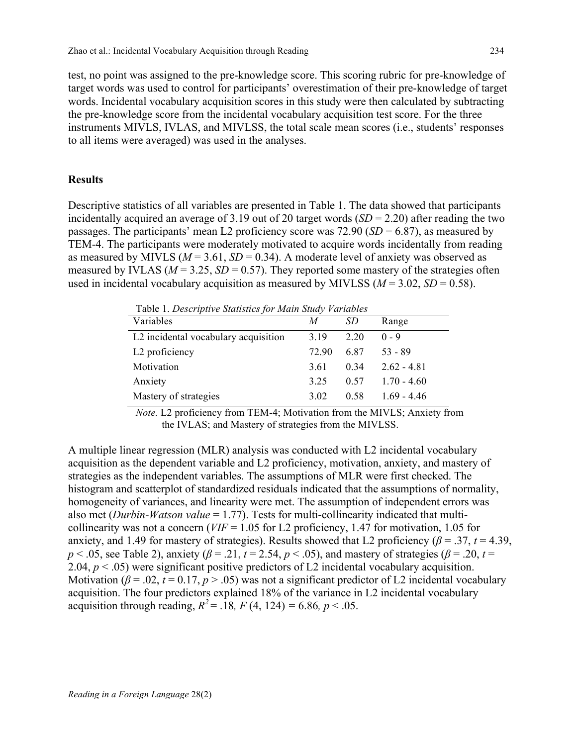test, no point was assigned to the pre-knowledge score. This scoring rubric for pre-knowledge of target words was used to control for participants' overestimation of their pre-knowledge of target words. Incidental vocabulary acquisition scores in this study were then calculated by subtracting the pre-knowledge score from the incidental vocabulary acquisition test score. For the three instruments MIVLS, IVLAS, and MIVLSS, the total scale mean scores (i.e., students' responses to all items were averaged) was used in the analyses.

#### **Results**

Descriptive statistics of all variables are presented in Table 1. The data showed that participants incidentally acquired an average of 3.19 out of 20 target words (*SD* = 2.20) after reading the two passages. The participants' mean L2 proficiency score was 72.90 (*SD* = 6.87), as measured by TEM-4. The participants were moderately motivated to acquire words incidentally from reading as measured by MIVLS ( $M = 3.61$ ,  $SD = 0.34$ ). A moderate level of anxiety was observed as measured by IVLAS ( $M = 3.25$ ,  $SD = 0.57$ ). They reported some mastery of the strategies often used in incidental vocabulary acquisition as measured by MIVLSS ( $M = 3.02$ ,  $SD = 0.58$ ).

| Table 1. Descriptive Statistics for Main Study Variables |       |      |               |  |  |  |
|----------------------------------------------------------|-------|------|---------------|--|--|--|
| Variables                                                | M     | SD   | Range         |  |  |  |
| L2 incidental vocabulary acquisition                     | 3.19  | 2.20 | $0 - 9$       |  |  |  |
| L <sub>2</sub> proficiency                               | 72.90 | 6.87 | $53 - 89$     |  |  |  |
| Motivation                                               | 3.61  | 0.34 | $2.62 - 4.81$ |  |  |  |
| Anxiety                                                  | 3.25  | 0.57 | $1.70 - 4.60$ |  |  |  |
| Mastery of strategies                                    | 3.02  | 0.58 | $1.69 - 4.46$ |  |  |  |

Table 1. *Descriptive Statistics for Main Study Variables* 

*Note.* L2 proficiency from TEM-4; Motivation from the MIVLS; Anxiety from the IVLAS; and Mastery of strategies from the MIVLSS.

A multiple linear regression (MLR) analysis was conducted with L2 incidental vocabulary acquisition as the dependent variable and L2 proficiency, motivation, anxiety, and mastery of strategies as the independent variables. The assumptions of MLR were first checked. The histogram and scatterplot of standardized residuals indicated that the assumptions of normality, homogeneity of variances, and linearity were met. The assumption of independent errors was also met (*Durbin-Watson value* = 1.77). Tests for multi-collinearity indicated that multicollinearity was not a concern (*VIF* = 1.05 for L2 proficiency, 1.47 for motivation, 1.05 for anxiety, and 1.49 for mastery of strategies). Results showed that L2 proficiency ( $\beta$  = .37, *t* = 4.39, *p* < .05, see Table 2), anxiety (*β* = .21, *t* = 2.54, *p* < .05), and mastery of strategies (*β* = .20, *t* = 2.04, *p* < .05) were significant positive predictors of L2 incidental vocabulary acquisition. Motivation ( $\beta$  = .02,  $t$  = 0.17,  $p$  > .05) was not a significant predictor of L2 incidental vocabulary acquisition. The four predictors explained 18% of the variance in L2 incidental vocabulary acquisition through reading,  $R^2 = .18$ ,  $F(4, 124) = 6.86$ ,  $p < .05$ .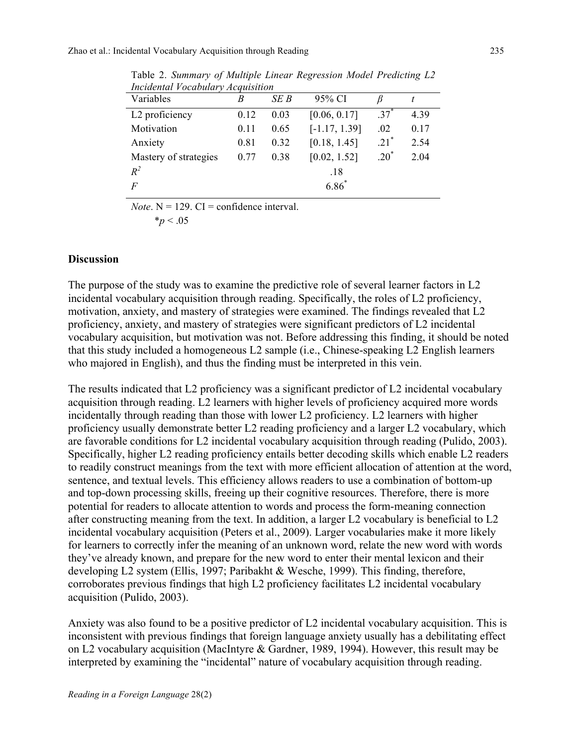| mentana rocabatary Acquistiton |      |      |                 |                    |      |  |
|--------------------------------|------|------|-----------------|--------------------|------|--|
| Variables                      | R    | SE B | 95% CI          |                    |      |  |
| L2 proficiency                 | 0.12 | 0.03 | [0.06, 0.17]    | $.37^{*}$          | 4.39 |  |
| Motivation                     | 0.11 | 0.65 | $[-1.17, 1.39]$ | .02                | 0.17 |  |
| Anxiety                        | 0.81 | 0.32 | [0.18, 1.45]    | $.21$ <sup>*</sup> | 2.54 |  |
| Mastery of strategies          | 0.77 | 0.38 | [0.02, 1.52]    | $.20*$             | 2.04 |  |
| $R^2$                          |      |      | .18             |                    |      |  |
| $\boldsymbol{F}$               |      |      | $6.86^{*}$      |                    |      |  |
|                                |      |      |                 |                    |      |  |

Table 2. *Summary of Multiple Linear Regression Model Predicting L2 Incidental Vocabulary Acquisition*

*Note*.  $N = 129$ .  $CI =$  confidence interval.

$$
*_{\small{p\,<\,.05}}
$$

### **Discussion**

The purpose of the study was to examine the predictive role of several learner factors in L2 incidental vocabulary acquisition through reading. Specifically, the roles of L2 proficiency, motivation, anxiety, and mastery of strategies were examined. The findings revealed that L2 proficiency, anxiety, and mastery of strategies were significant predictors of L2 incidental vocabulary acquisition, but motivation was not. Before addressing this finding, it should be noted that this study included a homogeneous L2 sample (i.e., Chinese-speaking L2 English learners who majored in English), and thus the finding must be interpreted in this vein.

The results indicated that L2 proficiency was a significant predictor of L2 incidental vocabulary acquisition through reading. L2 learners with higher levels of proficiency acquired more words incidentally through reading than those with lower L2 proficiency. L2 learners with higher proficiency usually demonstrate better L2 reading proficiency and a larger L2 vocabulary, which are favorable conditions for L2 incidental vocabulary acquisition through reading (Pulido, 2003). Specifically, higher L2 reading proficiency entails better decoding skills which enable L2 readers to readily construct meanings from the text with more efficient allocation of attention at the word, sentence, and textual levels. This efficiency allows readers to use a combination of bottom-up and top-down processing skills, freeing up their cognitive resources. Therefore, there is more potential for readers to allocate attention to words and process the form-meaning connection after constructing meaning from the text. In addition, a larger L2 vocabulary is beneficial to L2 incidental vocabulary acquisition (Peters et al., 2009). Larger vocabularies make it more likely for learners to correctly infer the meaning of an unknown word, relate the new word with words they've already known, and prepare for the new word to enter their mental lexicon and their developing L2 system (Ellis, 1997; Paribakht & Wesche, 1999). This finding, therefore, corroborates previous findings that high L2 proficiency facilitates L2 incidental vocabulary acquisition (Pulido, 2003).

Anxiety was also found to be a positive predictor of L2 incidental vocabulary acquisition. This is inconsistent with previous findings that foreign language anxiety usually has a debilitating effect on L2 vocabulary acquisition (MacIntyre & Gardner, 1989, 1994). However, this result may be interpreted by examining the "incidental" nature of vocabulary acquisition through reading.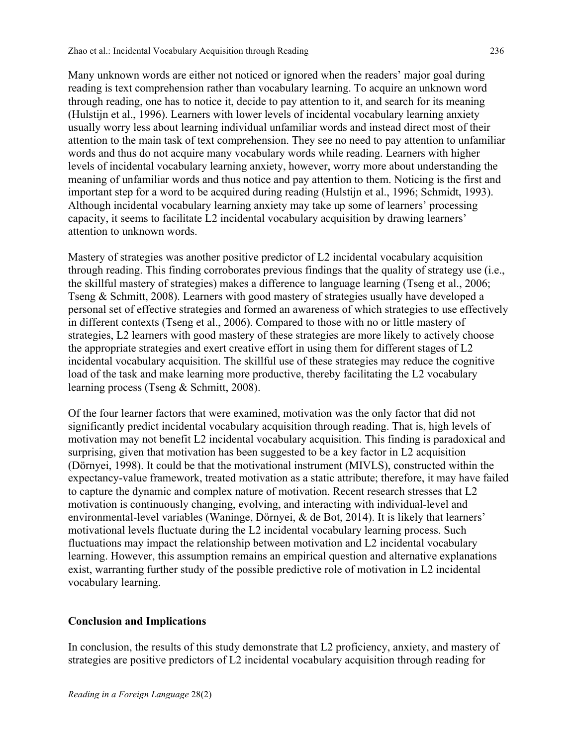Many unknown words are either not noticed or ignored when the readers' major goal during reading is text comprehension rather than vocabulary learning. To acquire an unknown word through reading, one has to notice it, decide to pay attention to it, and search for its meaning (Hulstijn et al., 1996). Learners with lower levels of incidental vocabulary learning anxiety usually worry less about learning individual unfamiliar words and instead direct most of their attention to the main task of text comprehension. They see no need to pay attention to unfamiliar words and thus do not acquire many vocabulary words while reading. Learners with higher levels of incidental vocabulary learning anxiety, however, worry more about understanding the meaning of unfamiliar words and thus notice and pay attention to them. Noticing is the first and important step for a word to be acquired during reading (Hulstijn et al., 1996; Schmidt, 1993). Although incidental vocabulary learning anxiety may take up some of learners' processing capacity, it seems to facilitate L2 incidental vocabulary acquisition by drawing learners' attention to unknown words.

Mastery of strategies was another positive predictor of L2 incidental vocabulary acquisition through reading. This finding corroborates previous findings that the quality of strategy use (i.e., the skillful mastery of strategies) makes a difference to language learning (Tseng et al., 2006; Tseng & Schmitt, 2008). Learners with good mastery of strategies usually have developed a personal set of effective strategies and formed an awareness of which strategies to use effectively in different contexts (Tseng et al., 2006). Compared to those with no or little mastery of strategies, L2 learners with good mastery of these strategies are more likely to actively choose the appropriate strategies and exert creative effort in using them for different stages of L2 incidental vocabulary acquisition. The skillful use of these strategies may reduce the cognitive load of the task and make learning more productive, thereby facilitating the L2 vocabulary learning process (Tseng & Schmitt, 2008).

Of the four learner factors that were examined, motivation was the only factor that did not significantly predict incidental vocabulary acquisition through reading. That is, high levels of motivation may not benefit L2 incidental vocabulary acquisition. This finding is paradoxical and surprising, given that motivation has been suggested to be a key factor in L2 acquisition (Dörnyei, 1998). It could be that the motivational instrument (MIVLS), constructed within the expectancy-value framework, treated motivation as a static attribute; therefore, it may have failed to capture the dynamic and complex nature of motivation. Recent research stresses that L2 motivation is continuously changing, evolving, and interacting with individual-level and environmental-level variables (Waninge, Dörnyei, & de Bot, 2014). It is likely that learners' motivational levels fluctuate during the L2 incidental vocabulary learning process. Such fluctuations may impact the relationship between motivation and L2 incidental vocabulary learning. However, this assumption remains an empirical question and alternative explanations exist, warranting further study of the possible predictive role of motivation in L2 incidental vocabulary learning.

## **Conclusion and Implications**

In conclusion, the results of this study demonstrate that L2 proficiency, anxiety, and mastery of strategies are positive predictors of L2 incidental vocabulary acquisition through reading for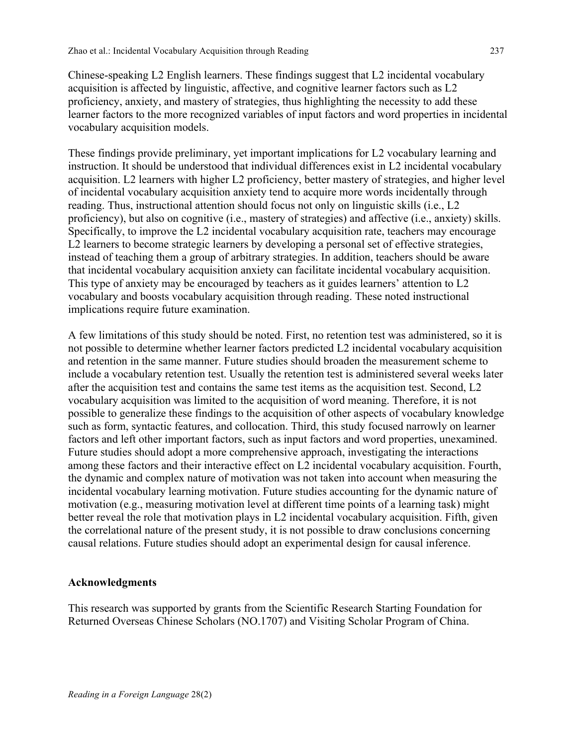Chinese-speaking L2 English learners. These findings suggest that L2 incidental vocabulary acquisition is affected by linguistic, affective, and cognitive learner factors such as L2 proficiency, anxiety, and mastery of strategies, thus highlighting the necessity to add these learner factors to the more recognized variables of input factors and word properties in incidental vocabulary acquisition models.

These findings provide preliminary, yet important implications for L2 vocabulary learning and instruction. It should be understood that individual differences exist in L2 incidental vocabulary acquisition. L2 learners with higher L2 proficiency, better mastery of strategies, and higher level of incidental vocabulary acquisition anxiety tend to acquire more words incidentally through reading. Thus, instructional attention should focus not only on linguistic skills (i.e., L2 proficiency), but also on cognitive (i.e., mastery of strategies) and affective (i.e., anxiety) skills. Specifically, to improve the L2 incidental vocabulary acquisition rate, teachers may encourage L2 learners to become strategic learners by developing a personal set of effective strategies, instead of teaching them a group of arbitrary strategies. In addition, teachers should be aware that incidental vocabulary acquisition anxiety can facilitate incidental vocabulary acquisition. This type of anxiety may be encouraged by teachers as it guides learners' attention to L2 vocabulary and boosts vocabulary acquisition through reading. These noted instructional implications require future examination.

A few limitations of this study should be noted. First, no retention test was administered, so it is not possible to determine whether learner factors predicted L2 incidental vocabulary acquisition and retention in the same manner. Future studies should broaden the measurement scheme to include a vocabulary retention test. Usually the retention test is administered several weeks later after the acquisition test and contains the same test items as the acquisition test. Second, L2 vocabulary acquisition was limited to the acquisition of word meaning. Therefore, it is not possible to generalize these findings to the acquisition of other aspects of vocabulary knowledge such as form, syntactic features, and collocation. Third, this study focused narrowly on learner factors and left other important factors, such as input factors and word properties, unexamined. Future studies should adopt a more comprehensive approach, investigating the interactions among these factors and their interactive effect on L2 incidental vocabulary acquisition. Fourth, the dynamic and complex nature of motivation was not taken into account when measuring the incidental vocabulary learning motivation. Future studies accounting for the dynamic nature of motivation (e.g., measuring motivation level at different time points of a learning task) might better reveal the role that motivation plays in L2 incidental vocabulary acquisition. Fifth, given the correlational nature of the present study, it is not possible to draw conclusions concerning causal relations. Future studies should adopt an experimental design for causal inference.

### **Acknowledgments**

This research was supported by grants from the Scientific Research Starting Foundation for Returned Overseas Chinese Scholars (NO.1707) and Visiting Scholar Program of China.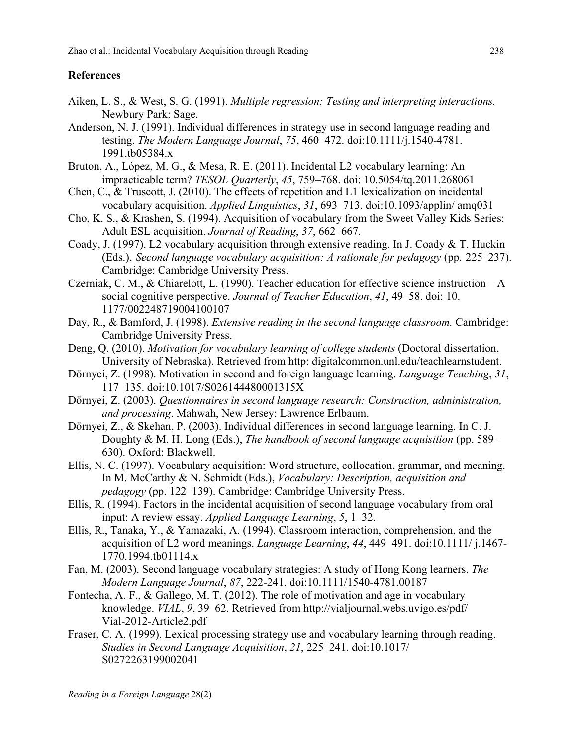## **References**

- Aiken, L. S., & West, S. G. (1991). *Multiple regression: Testing and interpreting interactions.*  Newbury Park: Sage.
- Anderson, N. J. (1991). Individual differences in strategy use in second language reading and testing. *The Modern Language Journal*, *75*, 460–472. doi:10.1111/j.1540-4781. 1991.tb05384.x
- Bruton, A., López, M. G., & Mesa, R. E. (2011). Incidental L2 vocabulary learning: An impracticable term? *TESOL Quarterly*, *45*, 759–768. doi: 10.5054/tq.2011.268061
- Chen, C., & Truscott, J. (2010). The effects of repetition and L1 lexicalization on incidental vocabulary acquisition. *Applied Linguistics*, *31*, 693–713. doi:10.1093/applin/ amq031
- Cho, K. S., & Krashen, S. (1994). Acquisition of vocabulary from the Sweet Valley Kids Series: Adult ESL acquisition. *Journal of Reading*, *37*, 662–667.
- Coady, J. (1997). L2 vocabulary acquisition through extensive reading. In J. Coady & T. Huckin (Eds.), *Second language vocabulary acquisition: A rationale for pedagogy* (pp. 225–237). Cambridge: Cambridge University Press.
- Czerniak, C. M., & Chiarelott, L. (1990). Teacher education for effective science instruction A social cognitive perspective. *Journal of Teacher Education*, *41*, 49–58. doi: 10. 1177/002248719004100107
- Day, R., & Bamford, J. (1998). *Extensive reading in the second language classroom.* Cambridge: Cambridge University Press.
- Deng, Q. (2010). *Motivation for vocabulary learning of college students* (Doctoral dissertation, University of Nebraska). Retrieved from http: digitalcommon.unl.edu/teachlearnstudent.
- Dörnyei, Z. (1998). Motivation in second and foreign language learning. *Language Teaching*, *31*, 117–135. doi:10.1017/S026144480001315X
- Dörnyei, Z. (2003). *Questionnaires in second language research: Construction, administration, and processing*. Mahwah, New Jersey: Lawrence Erlbaum.
- Dörnyei, Z., & Skehan, P. (2003). Individual differences in second language learning. In C. J. Doughty & M. H. Long (Eds.), *The handbook of second language acquisition* (pp. 589– 630). Oxford: Blackwell.
- Ellis, N. C. (1997). Vocabulary acquisition: Word structure, collocation, grammar, and meaning. In M. McCarthy & N. Schmidt (Eds.), *Vocabulary: Description, acquisition and pedagogy* (pp. 122–139). Cambridge: Cambridge University Press.
- Ellis, R. (1994). Factors in the incidental acquisition of second language vocabulary from oral input: A review essay. *Applied Language Learning*, *5*, 1–32.
- Ellis, R., Tanaka, Y., & Yamazaki, A. (1994). Classroom interaction, comprehension, and the acquisition of L2 word meanings. *Language Learning*, *44*, 449–491. doi:10.1111/ j.1467- 1770.1994.tb01114.x
- Fan, M. (2003). Second language vocabulary strategies: A study of Hong Kong learners. *The Modern Language Journal*, *87*, 222-241. doi:10.1111/1540-4781.00187
- Fontecha, A. F., & Gallego, M. T. (2012). The role of motivation and age in vocabulary knowledge. *VIAL*, *9*, 39–62. Retrieved from http://vialjournal.webs.uvigo.es/pdf/ Vial-2012-Article2.pdf
- Fraser, C. A. (1999). Lexical processing strategy use and vocabulary learning through reading. *Studies in Second Language Acquisition*, *21*, 225–241. doi:10.1017/ S0272263199002041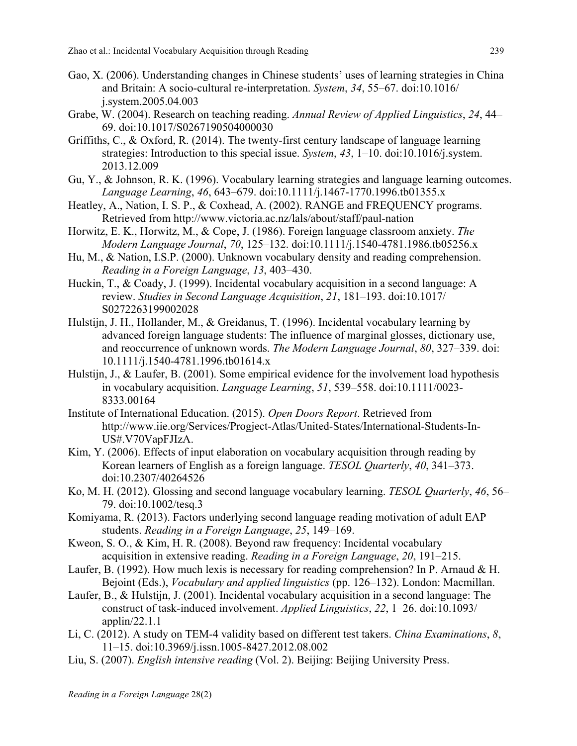- Gao, X. (2006). Understanding changes in Chinese students' uses of learning strategies in China and Britain: A socio-cultural re-interpretation. *System*, *34*, 55–67. doi:10.1016/ j.system.2005.04.003
- Grabe, W. (2004). Research on teaching reading. *Annual Review of Applied Linguistics*, *24*, 44– 69. doi:10.1017/S0267190504000030
- Griffiths, C., & Oxford, R. (2014). The twenty-first century landscape of language learning strategies: Introduction to this special issue. *System*, *43*, 1–10. doi:10.1016/j.system. 2013.12.009
- Gu, Y., & Johnson, R. K. (1996). Vocabulary learning strategies and language learning outcomes. *Language Learning*, *46*, 643–679. doi:10.1111/j.1467-1770.1996.tb01355.x
- Heatley, A., Nation, I. S. P., & Coxhead, A. (2002). RANGE and FREQUENCY programs. Retrieved from http://www.victoria.ac.nz/lals/about/staff/paul-nation
- Horwitz, E. K., Horwitz, M., & Cope, J. (1986). Foreign language classroom anxiety. *The Modern Language Journal*, *70*, 125–132. doi:10.1111/j.1540-4781.1986.tb05256.x
- Hu, M., & Nation, I.S.P. (2000). Unknown vocabulary density and reading comprehension. *Reading in a Foreign Language*, *13*, 403–430.
- Huckin, T., & Coady, J. (1999). Incidental vocabulary acquisition in a second language: A review. *Studies in Second Language Acquisition*, *21*, 181–193. doi:10.1017/ S0272263199002028
- Hulstijn, J. H., Hollander, M., & Greidanus, T. (1996). Incidental vocabulary learning by advanced foreign language students: The influence of marginal glosses, dictionary use, and reoccurrence of unknown words. *The Modern Language Journal*, *80*, 327–339. doi: 10.1111/j.1540-4781.1996.tb01614.x
- Hulstijn, J., & Laufer, B. (2001). Some empirical evidence for the involvement load hypothesis in vocabulary acquisition. *Language Learning*, *51*, 539–558. doi:10.1111/0023- 8333.00164
- Institute of International Education. (2015). *Open Doors Report*. Retrieved from http://www.iie.org/Services/Progject-Atlas/United-States/International-Students-In-US#.V70VapFJIzA.
- Kim, Y. (2006). Effects of input elaboration on vocabulary acquisition through reading by Korean learners of English as a foreign language. *TESOL Quarterly*, *40*, 341–373. doi:10.2307/40264526
- Ko, M. H. (2012). Glossing and second language vocabulary learning. *TESOL Quarterly*, *46*, 56– 79. doi:10.1002/tesq.3
- Komiyama, R. (2013). Factors underlying second language reading motivation of adult EAP students. *Reading in a Foreign Language*, *25*, 149–169.
- Kweon, S. O., & Kim, H. R. (2008). Beyond raw frequency: Incidental vocabulary acquisition in extensive reading. *Reading in a Foreign Language*, *20*, 191–215.
- Laufer, B. (1992). How much lexis is necessary for reading comprehension? In P. Arnaud & H. Bejoint (Eds.), *Vocabulary and applied linguistics* (pp. 126–132). London: Macmillan.
- Laufer, B., & Hulstijn, J. (2001). Incidental vocabulary acquisition in a second language: The construct of task-induced involvement. *Applied Linguistics*, *22*, 1–26. doi:10.1093/ applin/22.1.1
- Li, C. (2012). A study on TEM-4 validity based on different test takers. *China Examinations*, *8*, 11–15. doi:10.3969/j.issn.1005-8427.2012.08.002
- Liu, S. (2007). *English intensive reading* (Vol. 2). Beijing: Beijing University Press.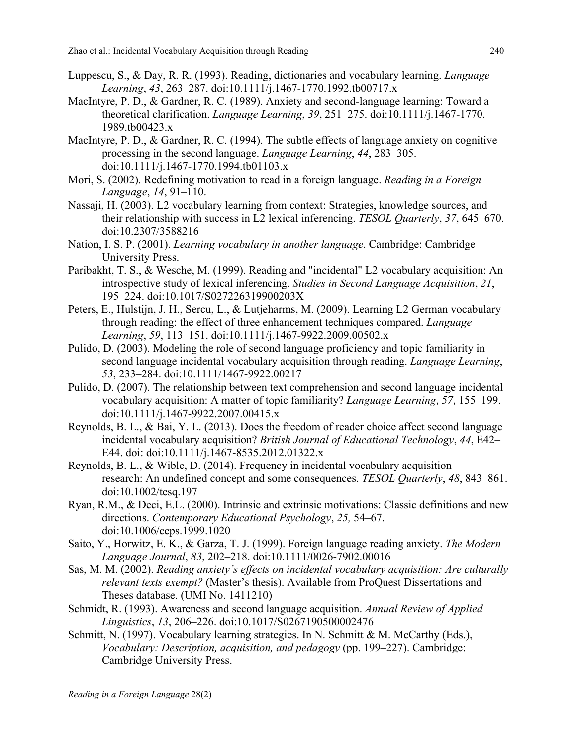- Luppescu, S., & Day, R. R. (1993). Reading, dictionaries and vocabulary learning. *Language Learning*, *43*, 263–287. doi:10.1111/j.1467-1770.1992.tb00717.x
- MacIntyre, P. D., & Gardner, R. C. (1989). Anxiety and second-language learning: Toward a theoretical clarification. *Language Learning*, *39*, 251–275. doi:10.1111/j.1467-1770. 1989.tb00423.x
- MacIntyre, P. D., & Gardner, R. C. (1994). The subtle effects of language anxiety on cognitive processing in the second language. *Language Learning*, *44*, 283–305. doi:10.1111/j.1467-1770.1994.tb01103.x
- Mori, S. (2002). Redefining motivation to read in a foreign language. *Reading in a Foreign Language*, *14*, 91–110.
- Nassaji, H. (2003). L2 vocabulary learning from context: Strategies, knowledge sources, and their relationship with success in L2 lexical inferencing. *TESOL Quarterly*, *37*, 645–670. doi:10.2307/3588216
- Nation, I. S. P. (2001). *Learning vocabulary in another language*. Cambridge: Cambridge University Press.
- Paribakht, T. S., & Wesche, M. (1999). Reading and "incidental" L2 vocabulary acquisition: An introspective study of lexical inferencing. *Studies in Second Language Acquisition*, *21*, 195–224. doi:10.1017/S027226319900203X
- Peters, E., Hulstijn, J. H., Sercu, L., & Lutjeharms, M. (2009). Learning L2 German vocabulary through reading: the effect of three enhancement techniques compared. *Language Learning*, *59*, 113–151. doi:10.1111/j.1467-9922.2009.00502.x
- Pulido, D. (2003). Modeling the role of second language proficiency and topic familiarity in second language incidental vocabulary acquisition through reading. *Language Learning*, *53*, 233–284. doi:10.1111/1467-9922.00217
- Pulido, D. (2007). The relationship between text comprehension and second language incidental vocabulary acquisition: A matter of topic familiarity? *Language Learning, 57,* 155–199. doi:10.1111/j.1467-9922.2007.00415.x
- Reynolds, B. L., & Bai, Y. L. (2013). Does the freedom of reader choice affect second language incidental vocabulary acquisition? *British Journal of Educational Technology*, *44*, E42– E44. doi: doi:10.1111/j.1467-8535.2012.01322.x
- Reynolds, B. L., & Wible, D. (2014). Frequency in incidental vocabulary acquisition research: An undefined concept and some consequences. *TESOL Quarterly*, *48*, 843–861. doi:10.1002/tesq.197
- Ryan, R.M., & Deci, E.L. (2000). Intrinsic and extrinsic motivations: Classic definitions and new directions. *Contemporary Educational Psychology*, *25,* 54–67. doi:10.1006/ceps.1999.1020
- Saito, Y., Horwitz, E. K., & Garza, T. J. (1999). Foreign language reading anxiety. *The Modern Language Journal*, *83*, 202–218. doi:10.1111/0026-7902.00016
- Sas, M. M. (2002). *Reading anxiety's effects on incidental vocabulary acquisition: Are culturally relevant texts exempt?* (Master's thesis). Available from ProQuest Dissertations and Theses database. (UMI No. 1411210)
- Schmidt, R. (1993). Awareness and second language acquisition. *Annual Review of Applied Linguistics*, *13*, 206–226. doi:10.1017/S0267190500002476
- Schmitt, N. (1997). Vocabulary learning strategies. In N. Schmitt & M. McCarthy (Eds.), *Vocabulary: Description, acquisition, and pedagogy* (pp. 199–227). Cambridge: Cambridge University Press.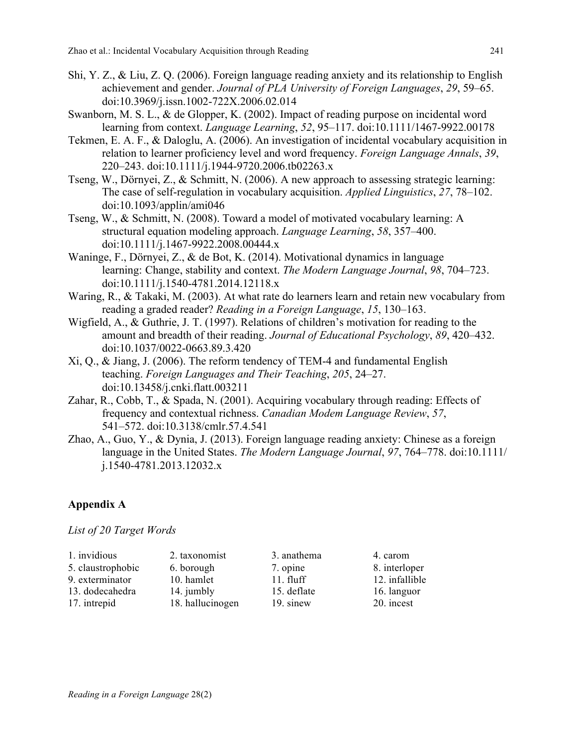- Shi, Y. Z., & Liu, Z. Q. (2006). Foreign language reading anxiety and its relationship to English achievement and gender. *Journal of PLA University of Foreign Languages*, *29*, 59–65. doi:10.3969/j.issn.1002-722X.2006.02.014
- Swanborn, M. S. L., & de Glopper, K. (2002). Impact of reading purpose on incidental word learning from context. *Language Learning*, *52*, 95–117. doi:10.1111/1467-9922.00178
- Tekmen, E. A. F., & Daloglu, A. (2006). An investigation of incidental vocabulary acquisition in relation to learner proficiency level and word frequency. *Foreign Language Annals*, *39*, 220–243. doi:10.1111/j.1944-9720.2006.tb02263.x
- Tseng, W., Dörnyei, Z., & Schmitt, N. (2006). A new approach to assessing strategic learning: The case of self-regulation in vocabulary acquisition. *Applied Linguistics*, *27*, 78–102. doi:10.1093/applin/ami046
- Tseng, W., & Schmitt, N. (2008). Toward a model of motivated vocabulary learning: A structural equation modeling approach. *Language Learning*, *58*, 357–400. doi:10.1111/j.1467-9922.2008.00444.x
- Waninge, F., Dörnyei, Z., & de Bot, K. (2014). Motivational dynamics in language learning: Change, stability and context. *The Modern Language Journal*, 98, 704–723. doi:10.1111/j.1540-4781.2014.12118.x
- Waring, R., & Takaki, M. (2003). At what rate do learners learn and retain new vocabulary from reading a graded reader? *Reading in a Foreign Language*, *15*, 130–163.
- Wigfield, A., & Guthrie, J. T. (1997). Relations of children's motivation for reading to the amount and breadth of their reading. *Journal of Educational Psychology*, *89*, 420–432. doi:10.1037/0022-0663.89.3.420
- Xi, Q., & Jiang, J. (2006). The reform tendency of TEM-4 and fundamental English teaching..*Foreign Languages and Their Teaching*, *205*, 24–27. doi:10.13458/j.cnki.flatt.003211
- Zahar, R., Cobb, T., & Spada, N. (2001). Acquiring vocabulary through reading: Effects of frequency and contextual richness. *Canadian Modem Language Review*, *57*, 541–572. doi:10.3138/cmlr.57.4.541
- Zhao, A., Guo, Y., & Dynia, J. (2013). Foreign language reading anxiety: Chinese as a foreign language in the United States. *The Modern Language Journal*, *97*, 764–778. doi:10.1111/ j.1540-4781.2013.12032.x

### **Appendix A**

*List of 20 Target Words*

| 1. invidious      | 2. taxonomist    | 3. anathema | 4. carom       |
|-------------------|------------------|-------------|----------------|
| 5. claustrophobic | 6. borough       | 7. opine    | 8. interloper  |
| 9. exterminator   | 10. hamlet       | $11.$ fluff | 12. infallible |
| 13. dodecahedra   | 14. jumbly       | 15. deflate | 16. languor    |
| 17. intrepid      | 18. hallucinogen | 19. sinew   | 20. incest     |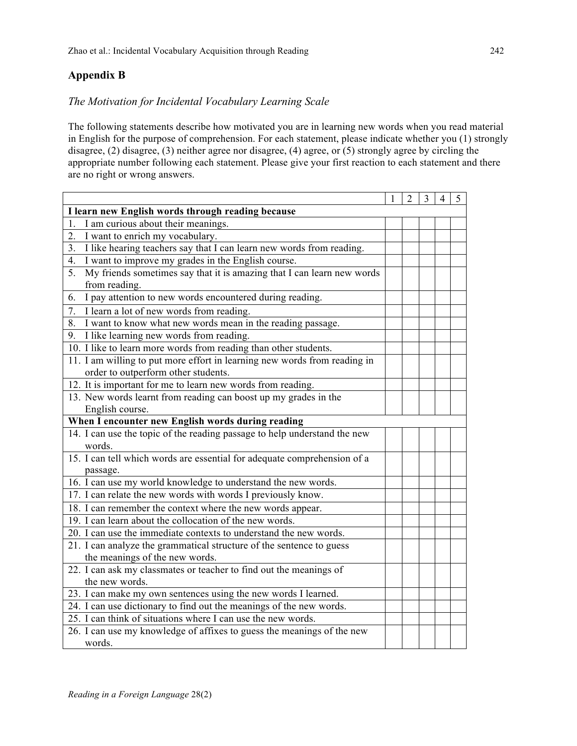# **Appendix B**

## *The Motivation for Incidental Vocabulary Learning Scale*

The following statements describe how motivated you are in learning new words when you read material in English for the purpose of comprehension. For each statement, please indicate whether you (1) strongly disagree, (2) disagree, (3) neither agree nor disagree, (4) agree, or (5) strongly agree by circling the appropriate number following each statement. Please give your first reaction to each statement and there are no right or wrong answers.

|                                                                              | 2 | 3 | 4 | 5 |
|------------------------------------------------------------------------------|---|---|---|---|
| I learn new English words through reading because                            |   |   |   |   |
| I am curious about their meanings.<br>1.                                     |   |   |   |   |
| 2.<br>I want to enrich my vocabulary.                                        |   |   |   |   |
| I like hearing teachers say that I can learn new words from reading.<br>3.   |   |   |   |   |
| 4.<br>I want to improve my grades in the English course.                     |   |   |   |   |
| 5.<br>My friends sometimes say that it is amazing that I can learn new words |   |   |   |   |
| from reading.                                                                |   |   |   |   |
| 6.<br>I pay attention to new words encountered during reading.               |   |   |   |   |
| 7.<br>I learn a lot of new words from reading.                               |   |   |   |   |
| I want to know what new words mean in the reading passage.<br>8.             |   |   |   |   |
| 9. I like learning new words from reading.                                   |   |   |   |   |
| 10. I like to learn more words from reading than other students.             |   |   |   |   |
| 11. I am willing to put more effort in learning new words from reading in    |   |   |   |   |
| order to outperform other students.                                          |   |   |   |   |
| 12. It is important for me to learn new words from reading.                  |   |   |   |   |
| 13. New words learnt from reading can boost up my grades in the              |   |   |   |   |
| English course.                                                              |   |   |   |   |
| When I encounter new English words during reading                            |   |   |   |   |
| 14. I can use the topic of the reading passage to help understand the new    |   |   |   |   |
| words.                                                                       |   |   |   |   |
| 15. I can tell which words are essential for adequate comprehension of a     |   |   |   |   |
| passage.                                                                     |   |   |   |   |
| 16. I can use my world knowledge to understand the new words.                |   |   |   |   |
| 17. I can relate the new words with words I previously know.                 |   |   |   |   |
| 18. I can remember the context where the new words appear.                   |   |   |   |   |
| 19. I can learn about the collocation of the new words.                      |   |   |   |   |
| 20. I can use the immediate contexts to understand the new words.            |   |   |   |   |
| 21. I can analyze the grammatical structure of the sentence to guess         |   |   |   |   |
| the meanings of the new words.                                               |   |   |   |   |
| 22. I can ask my classmates or teacher to find out the meanings of           |   |   |   |   |
| the new words.                                                               |   |   |   |   |
| 23. I can make my own sentences using the new words I learned.               |   |   |   |   |
| 24. I can use dictionary to find out the meanings of the new words.          |   |   |   |   |
| 25. I can think of situations where I can use the new words.                 |   |   |   |   |
| 26. I can use my knowledge of affixes to guess the meanings of the new       |   |   |   |   |
| words.                                                                       |   |   |   |   |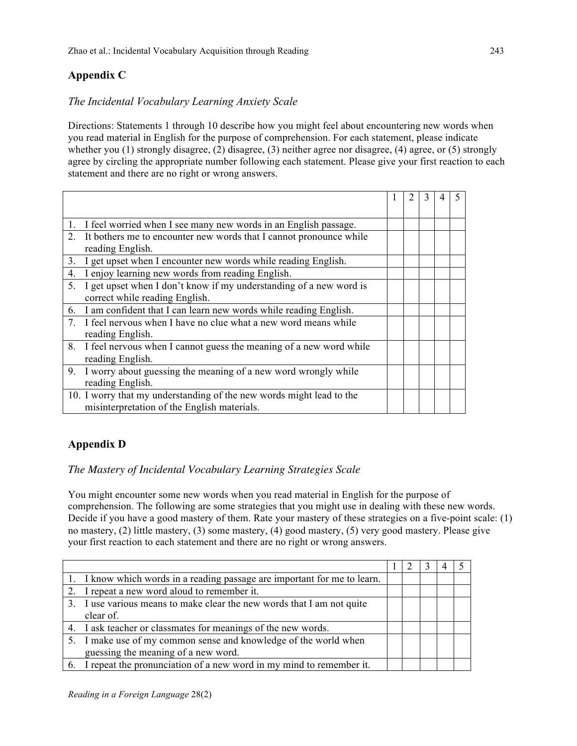# **Appendix C**

## *The Incidental Vocabulary Learning Anxiety Scale*

Directions: Statements 1 through 10 describe how you might feel about encountering new words when you read material in English for the purpose of comprehension. For each statement, please indicate whether you (1) strongly disagree, (2) disagree, (3) neither agree nor disagree, (4) agree, or (5) strongly agree by circling the appropriate number following each statement. Please give your first reaction to each statement and there are no right or wrong answers.

|                                | I feel worried when I see many new words in an English passage.                                                     |  |  |  |
|--------------------------------|---------------------------------------------------------------------------------------------------------------------|--|--|--|
| $2_{-}$                        | It bothers me to encounter new words that I cannot pronounce while<br>reading English.                              |  |  |  |
| 3.                             | I get upset when I encounter new words while reading English.                                                       |  |  |  |
| 4.                             | I enjoy learning new words from reading English.                                                                    |  |  |  |
| 5.                             | I get upset when I don't know if my understanding of a new word is<br>correct while reading English.                |  |  |  |
| 6.                             | I am confident that I can learn new words while reading English.                                                    |  |  |  |
| $7_{\scriptscriptstyle{\sim}}$ | I feel nervous when I have no clue what a new word means while<br>reading English.                                  |  |  |  |
| 8.                             | I feel nervous when I cannot guess the meaning of a new word while<br>reading English.                              |  |  |  |
| 9.                             | I worry about guessing the meaning of a new word wrongly while                                                      |  |  |  |
|                                | reading English.                                                                                                    |  |  |  |
|                                | 10. I worry that my understanding of the new words might lead to the<br>misinterpretation of the English materials. |  |  |  |

## **Appendix D**

### *The Mastery of Incidental Vocabulary Learning Strategies Scale*

You might encounter some new words when you read material in English for the purpose of comprehension. The following are some strategies that you might use in dealing with these new words. Decide if you have a good mastery of them. Rate your mastery of these strategies on a five-point scale: (1) no mastery, (2) little mastery, (3) some mastery, (4) good mastery, (5) very good mastery. Please give your first reaction to each statement and there are no right or wrong answers.

| 1. I know which words in a reading passage are important for me to learn. |  |  |  |
|---------------------------------------------------------------------------|--|--|--|
| 2. I repeat a new word aloud to remember it.                              |  |  |  |
| 3. I use various means to make clear the new words that I am not quite    |  |  |  |
| clear of.                                                                 |  |  |  |
| 4. I ask teacher or classmates for meanings of the new words.             |  |  |  |
| 5. I make use of my common sense and knowledge of the world when          |  |  |  |
| guessing the meaning of a new word.                                       |  |  |  |
| 6. I repeat the pronunciation of a new word in my mind to remember it.    |  |  |  |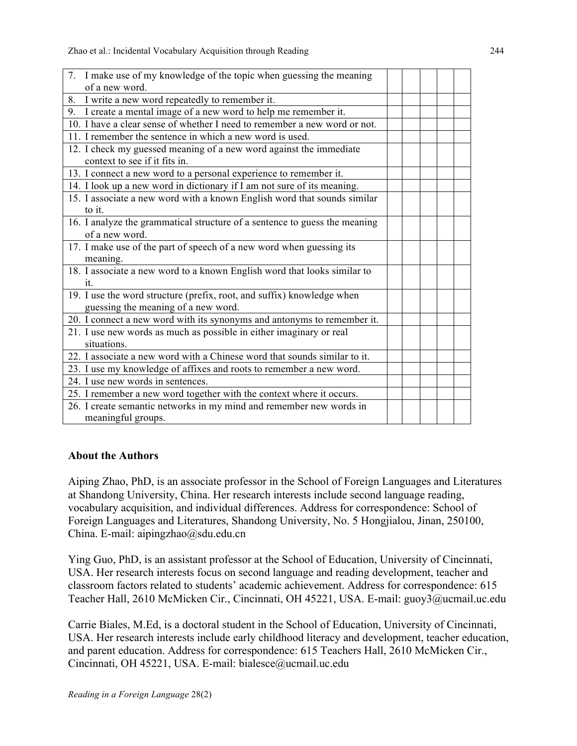Zhao et al.: Incidental Vocabulary Acquisition through Reading 244

| 7. I make use of my knowledge of the topic when guessing the meaning                                          |  |  |
|---------------------------------------------------------------------------------------------------------------|--|--|
| of a new word.                                                                                                |  |  |
| 8. I write a new word repeatedly to remember it.                                                              |  |  |
| 9. I create a mental image of a new word to help me remember it.                                              |  |  |
| 10. I have a clear sense of whether I need to remember a new word or not.                                     |  |  |
| 11. I remember the sentence in which a new word is used.                                                      |  |  |
| 12. I check my guessed meaning of a new word against the immediate<br>context to see if it fits in.           |  |  |
| 13. I connect a new word to a personal experience to remember it.                                             |  |  |
| 14. I look up a new word in dictionary if I am not sure of its meaning.                                       |  |  |
| 15. I associate a new word with a known English word that sounds similar<br>to it.                            |  |  |
| 16. I analyze the grammatical structure of a sentence to guess the meaning<br>of a new word.                  |  |  |
| 17. I make use of the part of speech of a new word when guessing its<br>meaning.                              |  |  |
| 18. I associate a new word to a known English word that looks similar to<br>It.                               |  |  |
| 19. I use the word structure (prefix, root, and suffix) knowledge when<br>guessing the meaning of a new word. |  |  |
| 20. I connect a new word with its synonyms and antonyms to remember it.                                       |  |  |
| 21. I use new words as much as possible in either imaginary or real                                           |  |  |
| situations.                                                                                                   |  |  |
| 22. I associate a new word with a Chinese word that sounds similar to it.                                     |  |  |
| 23. I use my knowledge of affixes and roots to remember a new word.                                           |  |  |
| 24. I use new words in sentences.                                                                             |  |  |
| 25. I remember a new word together with the context where it occurs.                                          |  |  |
| 26. I create semantic networks in my mind and remember new words in                                           |  |  |
| meaningful groups.                                                                                            |  |  |

## **About the Authors**

Aiping Zhao, PhD, is an associate professor in the School of Foreign Languages and Literatures at Shandong University, China. Her research interests include second language reading, vocabulary acquisition, and individual differences. Address for correspondence: School of Foreign Languages and Literatures, Shandong University, No. 5 Hongjialou, Jinan, 250100, China. E-mail: aipingzhao@sdu.edu.cn

Ying Guo, PhD, is an assistant professor at the School of Education, University of Cincinnati, USA. Her research interests focus on second language and reading development, teacher and classroom factors related to students' academic achievement. Address for correspondence: 615 Teacher Hall, 2610 McMicken Cir., Cincinnati, OH 45221, USA. E-mail: guoy3@ucmail.uc.edu

Carrie Biales, M.Ed, is a doctoral student in the School of Education, University of Cincinnati, USA. Her research interests include early childhood literacy and development, teacher education, and parent education. Address for correspondence: 615 Teachers Hall, 2610 McMicken Cir., Cincinnati, OH 45221, USA. E-mail: bialesce@ucmail.uc.edu